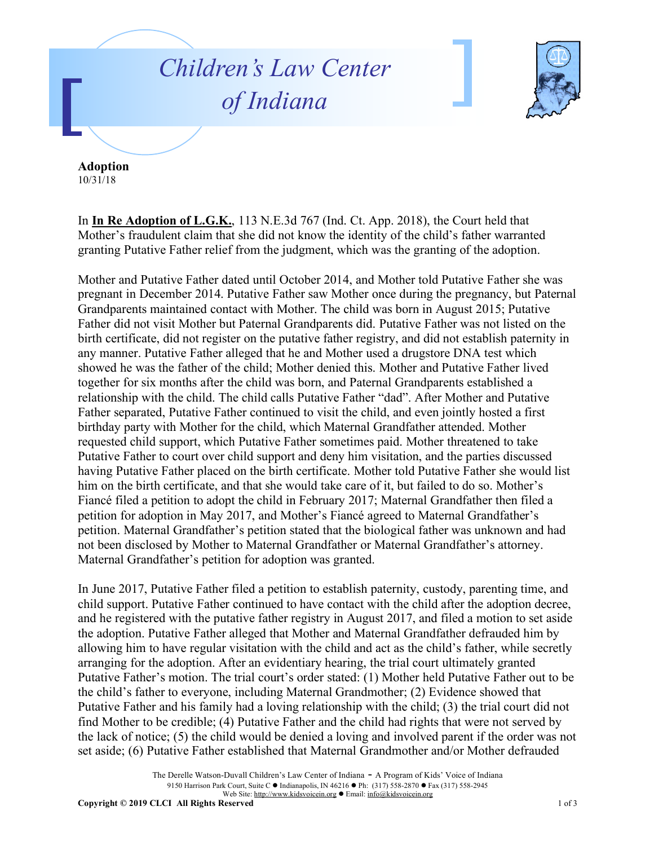## *Children's Law Center of Indiana*



**Adoption** 10/31/18

In **In Re Adoption of L.G.K.**, 113 N.E.3d 767 (Ind. Ct. App. 2018), the Court held that Mother's fraudulent claim that she did not know the identity of the child's father warranted granting Putative Father relief from the judgment, which was the granting of the adoption.

Mother and Putative Father dated until October 2014, and Mother told Putative Father she was pregnant in December 2014. Putative Father saw Mother once during the pregnancy, but Paternal Grandparents maintained contact with Mother. The child was born in August 2015; Putative Father did not visit Mother but Paternal Grandparents did. Putative Father was not listed on the birth certificate, did not register on the putative father registry, and did not establish paternity in any manner. Putative Father alleged that he and Mother used a drugstore DNA test which showed he was the father of the child; Mother denied this. Mother and Putative Father lived together for six months after the child was born, and Paternal Grandparents established a relationship with the child. The child calls Putative Father "dad". After Mother and Putative Father separated, Putative Father continued to visit the child, and even jointly hosted a first birthday party with Mother for the child, which Maternal Grandfather attended. Mother requested child support, which Putative Father sometimes paid. Mother threatened to take Putative Father to court over child support and deny him visitation, and the parties discussed having Putative Father placed on the birth certificate. Mother told Putative Father she would list him on the birth certificate, and that she would take care of it, but failed to do so. Mother's Fiancé filed a petition to adopt the child in February 2017; Maternal Grandfather then filed a petition for adoption in May 2017, and Mother's Fiancé agreed to Maternal Grandfather's petition. Maternal Grandfather's petition stated that the biological father was unknown and had not been disclosed by Mother to Maternal Grandfather or Maternal Grandfather's attorney. Maternal Grandfather's petition for adoption was granted.

In June 2017, Putative Father filed a petition to establish paternity, custody, parenting time, and child support. Putative Father continued to have contact with the child after the adoption decree, and he registered with the putative father registry in August 2017, and filed a motion to set aside the adoption. Putative Father alleged that Mother and Maternal Grandfather defrauded him by allowing him to have regular visitation with the child and act as the child's father, while secretly arranging for the adoption. After an evidentiary hearing, the trial court ultimately granted Putative Father's motion. The trial court's order stated: (1) Mother held Putative Father out to be the child's father to everyone, including Maternal Grandmother; (2) Evidence showed that Putative Father and his family had a loving relationship with the child; (3) the trial court did not find Mother to be credible; (4) Putative Father and the child had rights that were not served by the lack of notice; (5) the child would be denied a loving and involved parent if the order was not set aside; (6) Putative Father established that Maternal Grandmother and/or Mother defrauded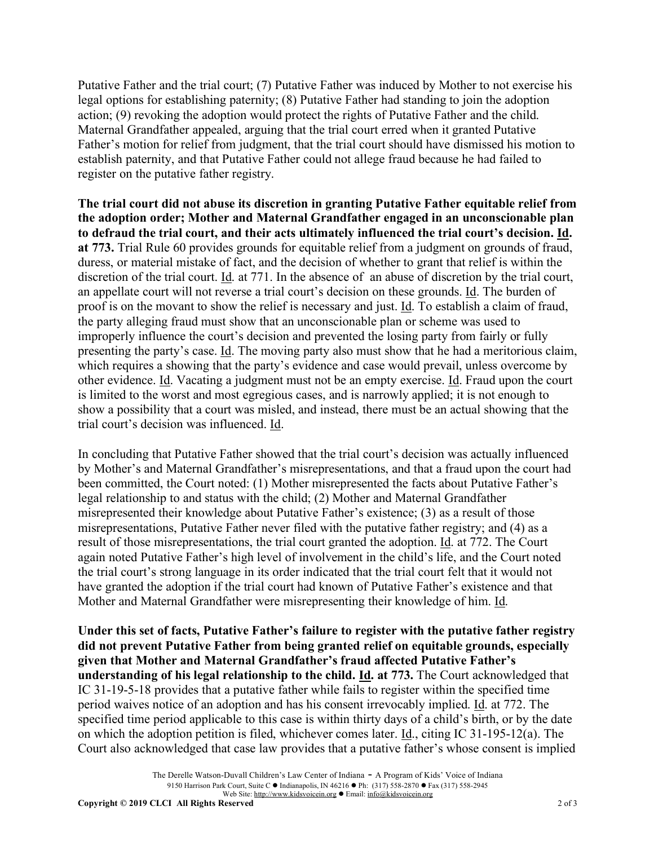Putative Father and the trial court; (7) Putative Father was induced by Mother to not exercise his legal options for establishing paternity; (8) Putative Father had standing to join the adoption action; (9) revoking the adoption would protect the rights of Putative Father and the child. Maternal Grandfather appealed, arguing that the trial court erred when it granted Putative Father's motion for relief from judgment, that the trial court should have dismissed his motion to establish paternity, and that Putative Father could not allege fraud because he had failed to register on the putative father registry.

**The trial court did not abuse its discretion in granting Putative Father equitable relief from the adoption order; Mother and Maternal Grandfather engaged in an unconscionable plan to defraud the trial court, and their acts ultimately influenced the trial court's decision. Id. at 773.** Trial Rule 60 provides grounds for equitable relief from a judgment on grounds of fraud, duress, or material mistake of fact, and the decision of whether to grant that relief is within the discretion of the trial court. Id. at 771. In the absence of an abuse of discretion by the trial court, an appellate court will not reverse a trial court's decision on these grounds. Id. The burden of proof is on the movant to show the relief is necessary and just. Id. To establish a claim of fraud, the party alleging fraud must show that an unconscionable plan or scheme was used to improperly influence the court's decision and prevented the losing party from fairly or fully presenting the party's case. <u>Id</u>. The moving party also must show that he had a meritorious claim, which requires a showing that the party's evidence and case would prevail, unless overcome by other evidence. Id. Vacating a judgment must not be an empty exercise. Id. Fraud upon the court is limited to the worst and most egregious cases, and is narrowly applied; it is not enough to show a possibility that a court was misled, and instead, there must be an actual showing that the trial court's decision was influenced. Id.

In concluding that Putative Father showed that the trial court's decision was actually influenced by Mother's and Maternal Grandfather's misrepresentations, and that a fraud upon the court had been committed, the Court noted: (1) Mother misrepresented the facts about Putative Father's legal relationship to and status with the child; (2) Mother and Maternal Grandfather misrepresented their knowledge about Putative Father's existence; (3) as a result of those misrepresentations, Putative Father never filed with the putative father registry; and (4) as a result of those misrepresentations, the trial court granted the adoption. Id. at 772. The Court again noted Putative Father's high level of involvement in the child's life, and the Court noted the trial court's strong language in its order indicated that the trial court felt that it would not have granted the adoption if the trial court had known of Putative Father's existence and that Mother and Maternal Grandfather were misrepresenting their knowledge of him. Id.

**Under this set of facts, Putative Father's failure to register with the putative father registry did not prevent Putative Father from being granted relief on equitable grounds, especially given that Mother and Maternal Grandfather's fraud affected Putative Father's understanding of his legal relationship to the child. Id. at 773.** The Court acknowledged that IC 31-19-5-18 provides that a putative father while fails to register within the specified time period waives notice of an adoption and has his consent irrevocably implied. Id. at 772. The specified time period applicable to this case is within thirty days of a child's birth, or by the date on which the adoption petition is filed, whichever comes later. Id., citing IC 31-195-12(a). The Court also acknowledged that case law provides that a putative father's whose consent is implied